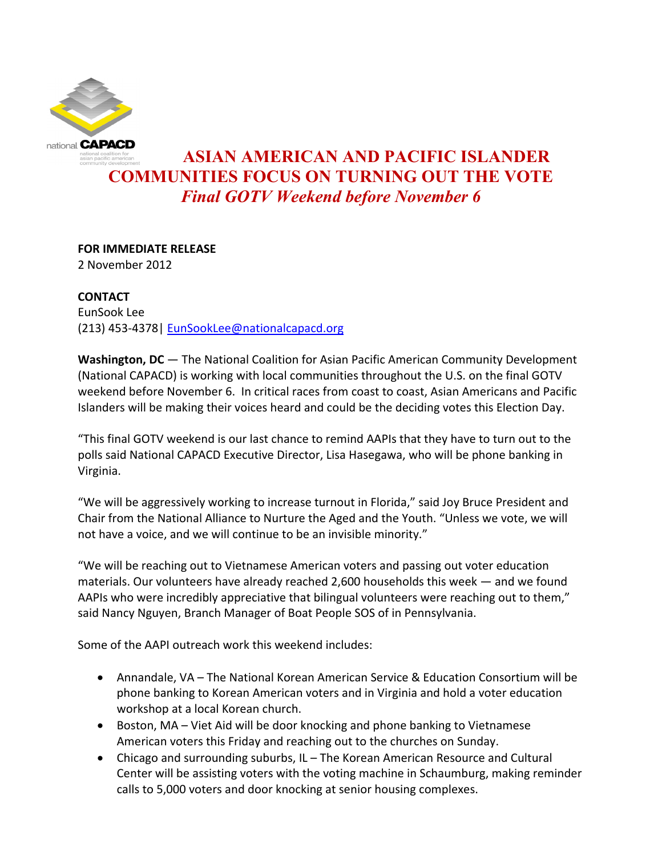

# **ASIAN AMERICAN AND PACIFIC ISLANDER COMMUNITIES FOCUS ON TURNING OUT THE VOTE** *Final GOTV Weekend before November 6*

## **FOR IMMEDIATE RELEASE**

2 November 2012

## **CONTACT**

EunSook Lee (213) 453-4378| [EunSookLee@nationalcapacd.org](mailto:EunSookLee@nationalcapacd.org)

**Washington, DC** — The National Coalition for Asian Pacific American Community Development (National CAPACD) is working with local communities throughout the U.S. on the final GOTV weekend before November 6. In critical races from coast to coast, Asian Americans and Pacific Islanders will be making their voices heard and could be the deciding votes this Election Day.

"This final GOTV weekend is our last chance to remind AAPIs that they have to turn out to the polls said National CAPACD Executive Director, Lisa Hasegawa, who will be phone banking in Virginia.

"We will be aggressively working to increase turnout in Florida," said Joy Bruce President and Chair from the National Alliance to Nurture the Aged and the Youth. "Unless we vote, we will not have a voice, and we will continue to be an invisible minority."

"We will be reaching out to Vietnamese American voters and passing out voter education materials. Our volunteers have already reached 2,600 households this week — and we found AAPIs who were incredibly appreciative that bilingual volunteers were reaching out to them," said Nancy Nguyen, Branch Manager of Boat People SOS of in Pennsylvania.

Some of the AAPI outreach work this weekend includes:

- Annandale, VA The National Korean American Service & Education Consortium will be phone banking to Korean American voters and in Virginia and hold a voter education workshop at a local Korean church.
- Boston, MA Viet Aid will be door knocking and phone banking to Vietnamese American voters this Friday and reaching out to the churches on Sunday.
- Chicago and surrounding suburbs, IL The Korean American Resource and Cultural Center will be assisting voters with the voting machine in Schaumburg, making reminder calls to 5,000 voters and door knocking at senior housing complexes.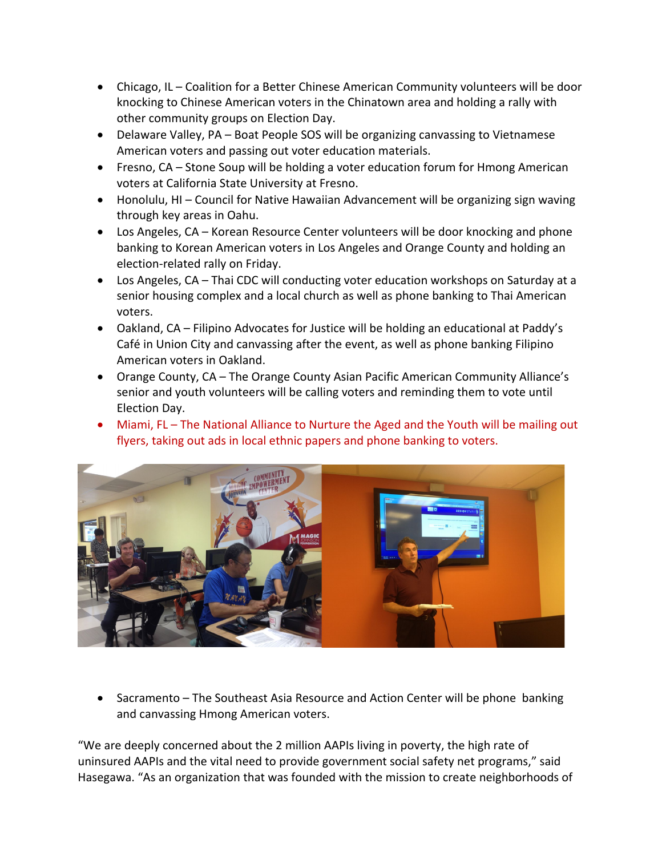- Chicago, IL Coalition for a Better Chinese American Community volunteers will be door knocking to Chinese American voters in the Chinatown area and holding a rally with other community groups on Election Day.
- Delaware Valley, PA Boat People SOS will be organizing canvassing to Vietnamese American voters and passing out voter education materials.
- Fresno, CA Stone Soup will be holding a voter education forum for Hmong American voters at California State University at Fresno.
- Honolulu, HI Council for Native Hawaiian Advancement will be organizing sign waving through key areas in Oahu.
- Los Angeles, CA Korean Resource Center volunteers will be door knocking and phone banking to Korean American voters in Los Angeles and Orange County and holding an election-related rally on Friday.
- Los Angeles, CA Thai CDC will conducting voter education workshops on Saturday at a senior housing complex and a local church as well as phone banking to Thai American voters.
- Oakland, CA Filipino Advocates for Justice will be holding an educational at Paddy's Café in Union City and canvassing after the event, as well as phone banking Filipino American voters in Oakland.
- Orange County, CA The Orange County Asian Pacific American Community Alliance's senior and youth volunteers will be calling voters and reminding them to vote until Election Day.
- Miami, FL The National Alliance to Nurture the Aged and the Youth will be mailing out flyers, taking out ads in local ethnic papers and phone banking to voters.



• Sacramento – The Southeast Asia Resource and Action Center will be phone banking and canvassing Hmong American voters.

"We are deeply concerned about the 2 million AAPIs living in poverty, the high rate of uninsured AAPIs and the vital need to provide government social safety net programs," said Hasegawa. "As an organization that was founded with the mission to create neighborhoods of